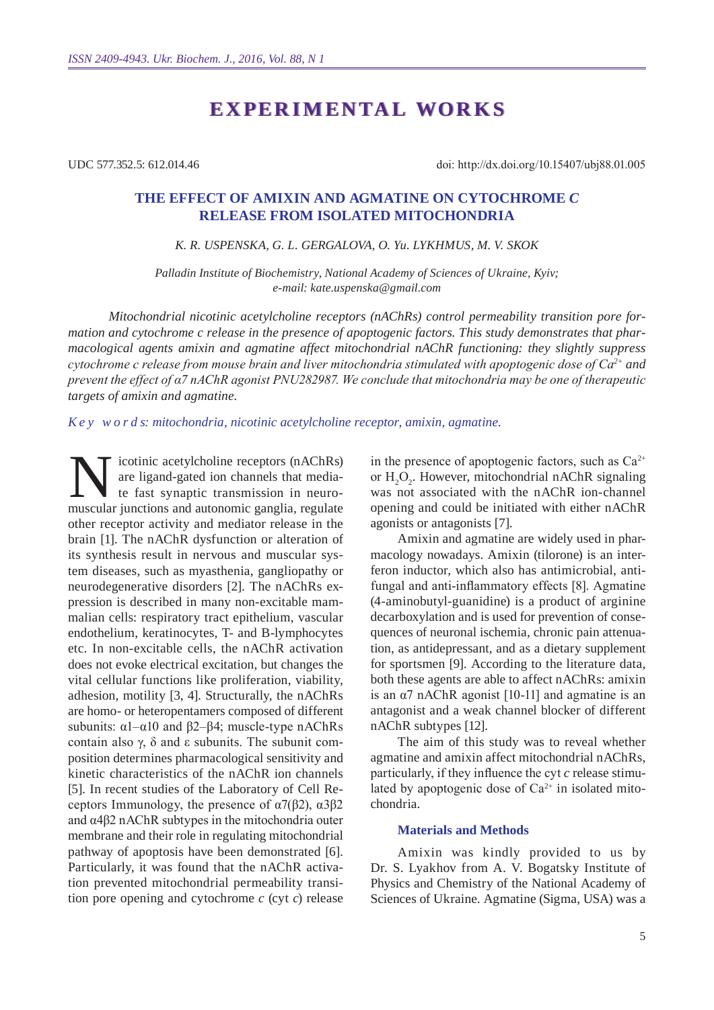# **experimental works experimental works**

UDC 577.352.5: 612.014.46

doi: http://dx.doi.org/10.15407/ubj88.01.005

# **The effect of amixin and agmatine on cytochrome** *c* **release from isolated mitochondria**

#### *K. R. Uspensk a, G. L. Gerg alova, O. Yu. Lyk hmus , M. V. Skok*

*Palladin Institute of Biochemistry, National Academy of Sciences of Ukraine, Kyiv; e-mail: kate.uspenska@gmail.com*

*Mitochondrial nicotinic acetylcholine receptors (nAChRs) control permeability transition pore formation and cytochrome c release in the presence of apoptogenic factors. This study demonstrates that pharmacological agents amixin and agmatine affect mitochondrial nAChR functioning: they slightly suppress cytochrome c release from mouse brain and liver mitochondria stimulated with apoptogenic dose of Са2+ and prevent the effect of α7 nAChR agonist PNU282987. We conclude that mitochondria may be one of therapeutic targets of amixin and agmatine.* 

*K e y w o r d s: mitochondria, nicotinic acetylcholine receptor, amixin, agmatine.*

icotinic acetylcholine receptors (nAChRs) are ligand-gated ion channels that mediate fast synaptic transmission in neuromuscular junctions and autonomic ganglia, regulate other receptor activity and mediator release in the brain [1]. The nAChR dysfunction or alteration of its synthesis result in nervous and muscular system diseases, such as myasthenia, gangliopathy or neurodegenerative disorders [2]. The nAChRs expression is described in many non-excitable mammalian cells: respiratory tract epithelium, vascular endothelium, keratinocytes, T- and B-lymphocytes etc. In non-excitable cells, the nAChR activation does not evoke electrical excitation, but changes the vital cellular functions like proliferation, viability, adhesion, motility [3, 4]. Structurally, the nAChRs are homo- or heteropentamers composed of different subunits:  $α1–α10$  and  $β2–β4$ ; muscle-type nAChRs contain also γ, δ and ε subunits. The subunit composition determines pharmacological sensitivity and kinetic characteristics of the nAChR ion channels [5]. In recent studies of the Laboratory of Cell Receptors Immunology, the presence of  $α7(β2)$ ,  $α3β2$ and α4β2 nAChR subtypes in the mitochondria outer membrane and their role in regulating mitochondrial pathway of apoptosis have been demonstrated [6]. Particularly, it was found that the nAChR activation prevented mitochondrial permeability transition pore opening and cytochrome *c* (cyt *c*) release

in the presence of apoptogenic factors, such as  $Ca^{2+}$ or  $H_2O_2$ . However, mitochondrial nAChR signaling was not associated with the nAChR ion-channel opening and could be initiated with either nAChR agonists or antagonists [7].

Amixin and agmatine are widely used in pharmacology nowadays. Amixin (tilorone) is an interferon inductor, which also has antimicrobial, antifungal and anti-inflammatory effects [8]. Agmatine (4-aminobutyl-guanidine) is a product of arginine decarboxylation and is used for prevention of consequences of neuronal ischemia, chronic pain attenuation, as antidepressant, and as a dietary supplement for sportsmen [9]. According to the literature data, both these agents are able to affect nAChRs: amixin is an  $\alpha$ 7 nAChR agonist [10-11] and agmatine is an antagonist and a weak channel blocker of different nAChR subtypes [12].

The aim of this study was to reveal whether agmatine and amixin affect mitochondrial nAChRs, particularly, if they influence the cyt *c* release stimulated by apoptogenic dose of  $Ca^{2+}$  in isolated mitochondria.

#### **Materials and Methods**

Amixin was kindly provided to us by Dr. S. Lyakhov from A. V. Bogatsky Institute of Physics and Chemistry of the National Academy of Sciences of Ukraine. Agmatine (Sigma, USA) was a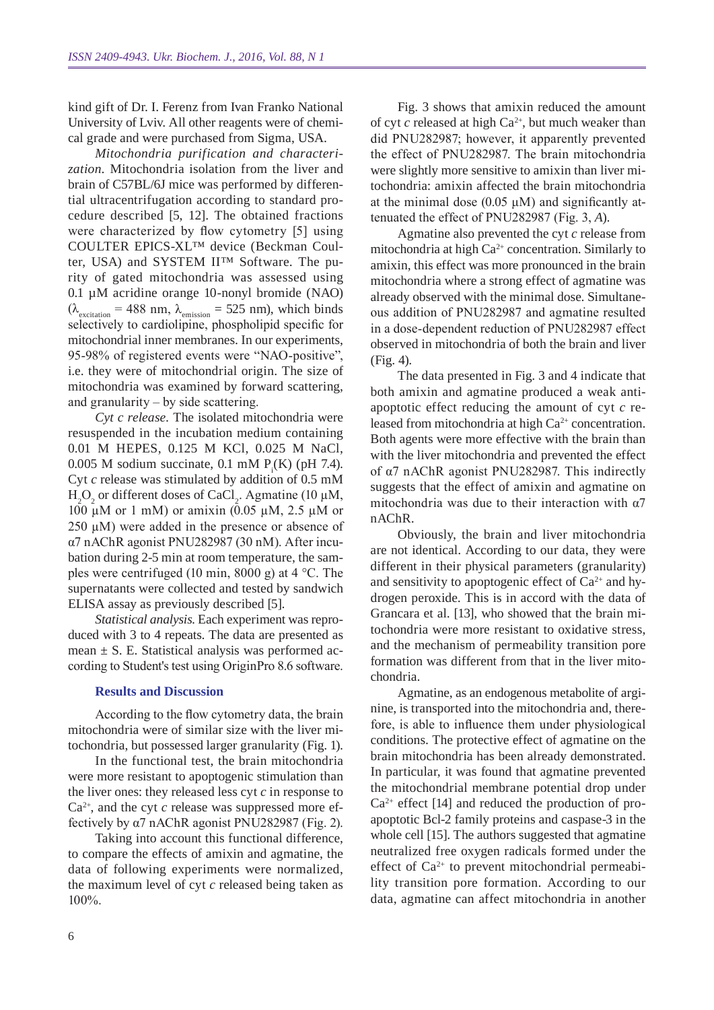kind gift of Dr. I. Ferenz from Ivan Franko National University of Lviv. All other reagents were of chemical grade and were purchased from Sigma, USA.

*Mitochondria purification and characterization.* Mitochondria isolation from the liver and brain of C57BL/6J mice was performed by differential ultracentrifugation according to standard procedure described [5, 12]. The obtained fractions were characterized by flow cytometry [5] using COULTER EPICS-XL™ device (Beckman Coulter, USA) and SYSTEM II™ Software. The purity of gated mitochondria was assessed using 0.1 µM acridine orange 10-nonyl bromide (NAO)  $(\lambda_{\text{excitation}} = 488 \text{ nm}, \lambda_{\text{emission}} = 525 \text{ nm})$ , which binds selectively to cardiolipine, phospholipid specific for mitochondrial inner membranes. In our experiments, 95-98% of registered events were "NAO-positive", i.e. they were of mitochondrial origin. The size of mitochondria was examined by forward scattering, and granularity – by side scattering.

*Cyt c release.* The isolated mitochondria were resuspended in the incubation medium containing 0.01 M HEPES, 0.125 M KCl, 0.025 M NaCl, 0.005 M sodium succinate, 0.1 mM  $P_i(K)$  (pH 7.4). Cyt *c* release was stimulated by addition of 0.5 mM  $H_2O_2$  or different doses of CaCl<sub>2</sub>. Agmatine (10 µM, 100 µМ or 1 mM) or amixin (0.05 µМ, 2.5 µМ or  $250 \mu M$ ) were added in the presence or absence of α7 nAChR agonist PNU282987 (30 nМ). After incubation during 2-5 min at room temperature, the samples were centrifuged (10 min, 8000 g) at 4 °C. The supernatants were collected and tested by sandwich ELISA assay as previously described [5].

*Statistical analysis*. Each experiment was reproduced with 3 to 4 repeats. The data are presented as mean  $\pm$  S. E. Statistical analysis was performed according to Student's test using OriginPro 8.6 software.

#### **Results and Discussion**

According to the flow cytometry data, the brain mitochondria were of similar size with the liver mitochondria, but possessed larger granularity (Fig. 1).

In the functional test, the brain mitochondria were more resistant to apoptogenic stimulation than the liver ones: they released less cyt *c* in response to  $Ca<sup>2+</sup>$ , and the cyt *c* release was suppressed more effectively by  $\alpha$ 7 nAChR agonist PNU282987 (Fig. 2).

Taking into account this functional difference, to compare the effects of amixin and agmatine, the data of following experiments were normalized, the maximum level of cyt *c* released being taken as 100%.

Fig. 3 shows that amixin reduced the amount of cyt *c* released at high Ca<sup>2+</sup>, but much weaker than did PNU282987; however, it apparently prevented the effect of PNU282987. The brain mitochondria were slightly more sensitive to amixin than liver mitochondria: amixin affected the brain mitochondria at the minimal dose  $(0.05 \mu M)$  and significantly attenuated the effect of PNU282987 (Fig. 3, *A*).

Agmatine also prevented the cyt *c* release from mitochondria at high  $Ca^{2+}$  concentration. Similarly to amixin, this effect was more pronounced in the brain mitochondria where a strong effect of agmatine was already observed with the minimal dose. Simultaneous addition of PNU282987 and agmatine resulted in a dose-dependent reduction of PNU282987 effect observed in mitochondria of both the brain and liver (Fig. 4).

The data presented in Fig. 3 and 4 indicate that both amixin and agmatine produced a weak antiapoptotic effect reducing the amount of cyt *c* released from mitochondria at high  $Ca<sup>2+</sup>$  concentration. Both agents were more effective with the brain than with the liver mitochondria and prevented the effect of α7 nAChR agonist PNU282987. This indirectly suggests that the effect of amixin and agmatine on mitochondria was due to their interaction with α7 nAChR.

Obviously, the brain and liver mitochondria are not identical. According to our data, they were different in their physical parameters (granularity) and sensitivity to apoptogenic effect of  $Ca^{2+}$  and hydrogen peroxide. This is in accord with the data of Grancara et al. [13], who showed that the brain mitochondria were more resistant to oxidative stress, and the mechanism of permeability transition pore formation was different from that in the liver mitochondria.

Agmatine, as an endogenous metabolite of arginine, is transported into the mitochondria and, therefore, is able to influence them under physiological conditions. The protective effect of agmatine on the brain mitochondria has been already demonstrated. In particular, it was found that agmatine prevented the mitochondrial membrane potential drop under  $Ca<sup>2+</sup>$  effect [14] and reduced the production of proapoptotic Bcl-2 family proteins and caspase-3 in the whole cell [15]. The authors suggested that agmatine neutralized free oxygen radicals formed under the effect of  $Ca^{2+}$  to prevent mitochondrial permeability transition pore formation. According to our data, agmatine can affect mitochondria in another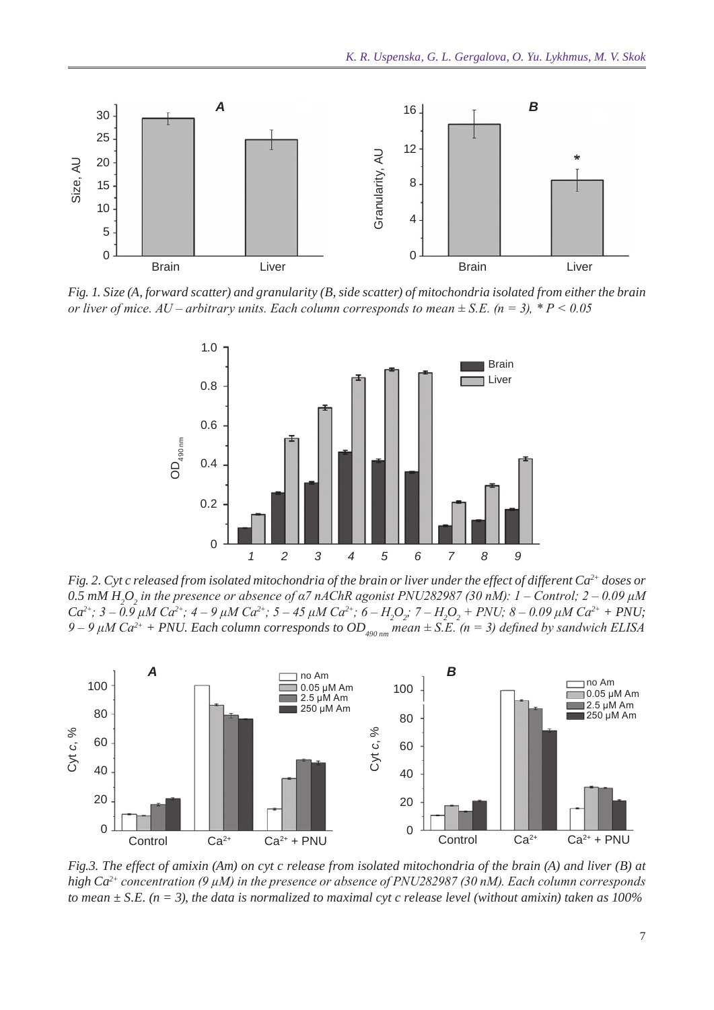

*Fig. 1. Size (A, forward scatter) and granularity (B, side scatter) of mitochondria isolated from either the brain* 



*Fig. 2. Cyt c released from isolated mitochondria of the brain or liver under the effect of different Ca2+ doses or*   $0.5$  mM H<sub>2</sub>O<sub>2</sub> in the presence or absence of α7 nAChR agonist PNU282987 (30 nM):  $1$  – Control; 2 – 0.09 μM *Ca*<sup>2+</sup>; 3 – 0.9 μM Ca<sup>2+</sup>; 4 – 9 μM Ca<sup>2+</sup>; 5 – 45 μM Ca<sup>2+</sup>; 6 – H<sub>2</sub>O<sub>2</sub></sub>; 7 – H<sub>2</sub>O<sub>2</sub> + PNU; 8 – 0.09 μM Ca<sup>2+</sup> + PNU; *9 – 9 μM Ca2+ + PNU. Each column corresponds to OD490 nm mean ± S.E. (n = 3) defined by sandwich ELISA*



*Fig.3. The effect of amixin (Am) on cyt c release from isolated mitochondria of the brain (A) and liver (B) at high Ca2+ concentration (9 µМ) in the presence or absence of PNU282987 (30 nM). Each column corresponds*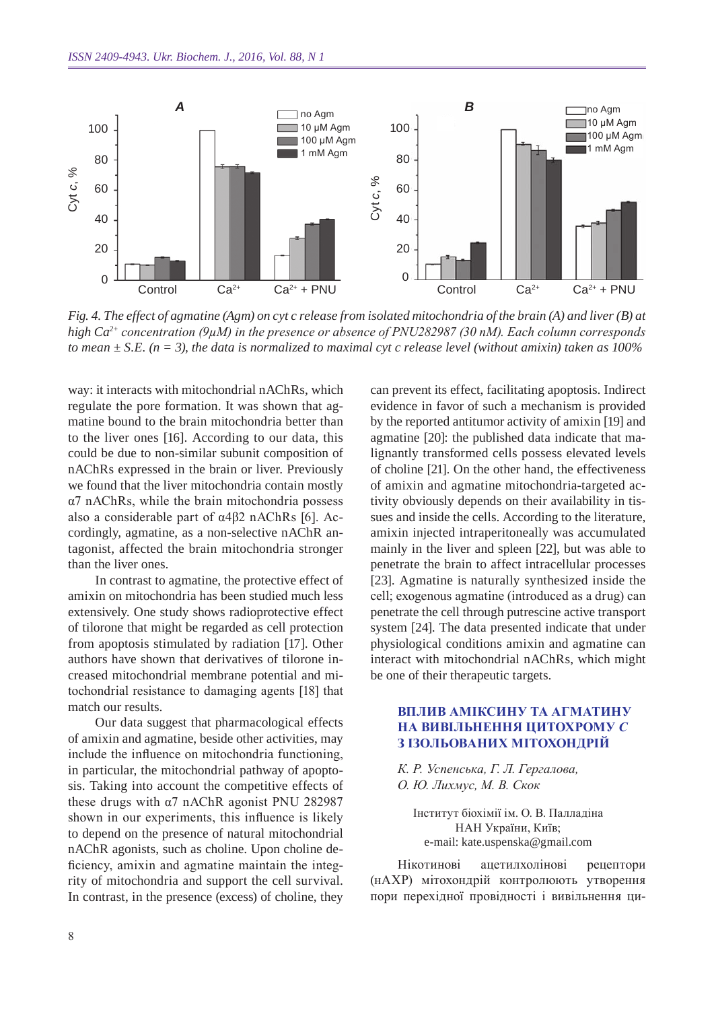

*Fig. 4. The effect of agmatine (Agm) on cyt c release from isolated mitochondria of the brain (A) and liver (B) at high Ca2+ concentration (9µМ) in the presence or absence of PNU282987 (30 nM). Each column corresponds* 

way: it interacts with mitochondrial nAChRs, which regulate the pore formation. It was shown that agmatine bound to the brain mitochondria better than to the liver ones [16]. According to our data, this could be due to non-similar subunit composition of nAChRs expressed in the brain or liver. Previously we found that the liver mitochondria contain mostly α7 nAChRs, while the brain mitochondria possess also a considerable part of α4β2 nAChRs [6]. Accordingly, agmatine, as a non-selective nAChR antagonist, affected the brain mitochondria stronger than the liver ones.

In contrast to agmatine, the protective effect of amixin on mitochondria has been studied much less extensively. One study shows radioprotective effect of tilorone that might be regarded as cell protection from apoptosis stimulated by radiation [17]. Other authors have shown that derivatives of tilorone increased mitochondrial membrane potential and mitochondrial resistance to damaging agents [18] that match our results.

Our data suggest that pharmacological effects of amixin and agmatine, beside other activities, may include the influence on mitochondria functioning, in particular, the mitochondrial pathway of apoptosis. Taking into account the competitive effects of these drugs with α7 nAChR agonist PNU 282987 shown in our experiments, this influence is likely to depend on the presence of natural mitochondrial nAChR agonists, such as choline. Upon choline deficiency, amixin and agmatine maintain the integrity of mitochondria and support the cell survival. In contrast, in the presence (excess) of choline, they can prevent its effect, facilitating apoptosis. Indirect evidence in favor of such a mechanism is provided by the reported antitumor activity of amixin [19] and agmatine [20]: the published data indicate that malignantly transformed cells possess elevated levels of choline [21]. On the other hand, the effectiveness of amixin and agmatine mitochondria-targeted activity obviously depends on their availability in tissues and inside the cells. According to the literature, amixin injected intraperitoneally was accumulated mainly in the liver and spleen [22], but was able to penetrate the brain to affect intracellular processes [23]. Agmatine is naturally synthesized inside the cell; exogenous agmatine (introduced as a drug) can penetrate the cell through putrescine active transport system [24]. The data presented indicate that under physiological conditions amixin and agmatine can interact with mitochondrial nAChRs, which might be one of their therapeutic targets.

### **Вплив аміксину та агматину на вивільнення цитохрому** *с* **з ізольованих мітохондрій**

*К. Р. Успенська, Г. Л. Гергалова, О. Ю. Лихмус, М. В. Скок*

Інститут біохімії ім. О. В. Палладіна НАН України, Київ; e-mail: kate.uspenska@gmail.com

Нікотинові ацетилхолінові рецептори (нАХР) мітохондрій контролюють утворення пори перехідної провідності і вивільнення ци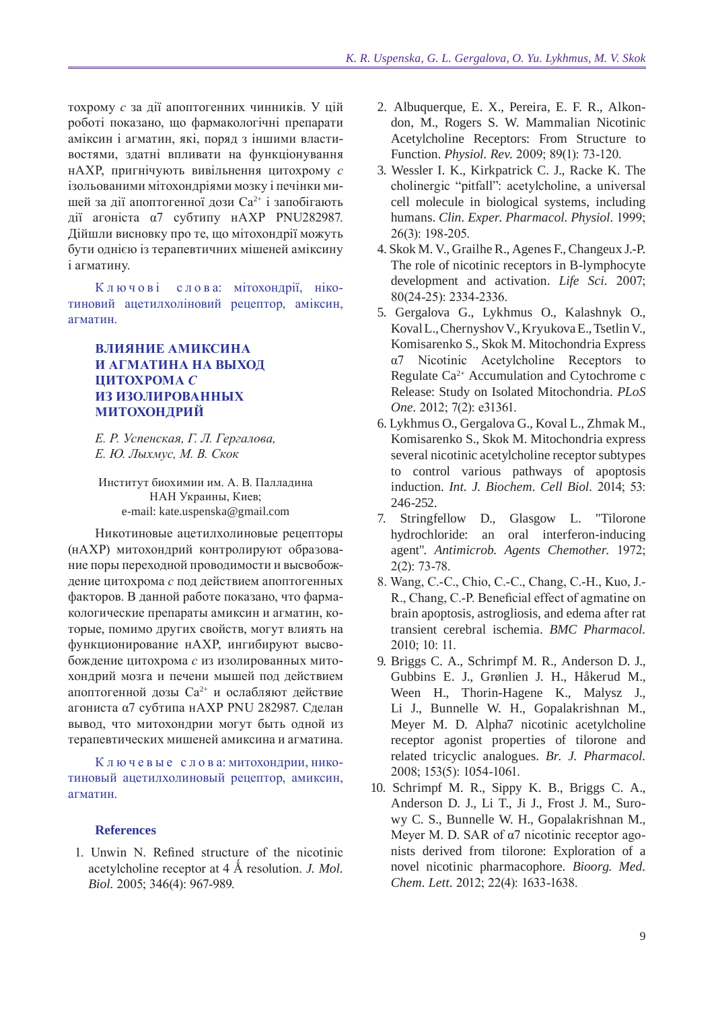тохрому с за дії апоптогенних чинників. У цій роботі показано, що фармакологічні препарати аміксин і агматин, які, поряд з іншими властивостями, златні впливати на функціонування нАХР, пригнічують вивільнення цитохрому с ізольованими мітохондріями мозку і печінки мишей за дії апоптогенної дози Са<sup>2+</sup> і запобігають дії агоніста α7 субтипу нАХР PNU282987. Дійшли висновку про те, що мітохондрії можуть бути однією із терапевтичних мішеней аміксину і агматину.

Ключові слова: мітохондрії, нікотиновий ацетилхоліновий рецептор, аміксин, агматин.

## ВЛИЯНИЕ АМИКСИНА И АГМАТИНА НА ВЫХОЛ ПИТОХРОМА С ИЗ ИЗОЛИРОВАННЫХ **МИТОХОНДРИЙ**

Е. Р. Успенская, Г. Л. Гергалова, Е. Ю. Лыхмус, М. В. Скок

Институт биохимии им. А. В. Палладина НАН Украины, Киев; e-mail: kate.uspenska@gmail.com

Никотиновые ацетилхолиновые рецепторы (нАХР) митохондрий контролируют образование поры переходной проводимости и высвобождение цитохрома с под действием апоптогенных факторов. В данной работе показано, что фармакологические препараты амиксин и агматин, которые, помимо других свойств, могут влиять на функционирование нАХР, ингибируют высвобождение цитохрома с из изолированных митохондрий мозга и печени мышей под действием апоптогенной дозы Са<sup>2+</sup> и ослабляют действие агониста α7 субтипа нАХР PNU 282987. Сделан вывод, что митохондрии могут быть одной из терапевтических мишеней амиксина и агматина.

Ключевые слова: митохондрии, никотиновый ацетилхолиновый рецептор, амиксин, агматин.

#### **References**

1. Unwin N. Refined structure of the nicotinic acetylcholine receptor at 4 Å resolution. *J. Mol.* Biol. 2005; 346(4): 967-989.

- 2. Albuquerque, E. X., Pereira, E. F. R., Alkondon, M., Rogers S. W. Mammalian Nicotinic Acetylcholine Receptors: From Structure to Function. Physiol. Rev. 2009; 89(1): 73-120.
- 3. Wessler I. K., Kirkpatrick C. J., Racke K. The cholinergic "pitfall": acetylcholine, a universal cell molecule in biological systems, including humans. Clin. Exper. Pharmacol. Physiol. 1999; 26(3): 198-205.
- 4. Skok M. V., Grailhe R., Agenes F., Changeux J.-P. The role of nicotinic receptors in B-lymphocyte development and activation. Life Sci. 2007; 80(24-25): 2334-2336.
- 5. Gergalova G., Lykhmus O., Kalashnyk O., Koval L., Chernyshov V., Kryukova E., Tsetlin V., Komisarenko S., Skok M. Mitochondria Express Nicotinic Acetylcholine Receptors to  $\alpha$ 7 Regulate  $Ca^{2+}$  Accumulation and Cytochrome c Release: Study on Isolated Mitochondria. PLoS One. 2012; 7(2): e31361.
- 6. Lykhmus O., Gergalova G., Koval L., Zhmak M., Komisarenko S., Skok M. Mitochondria express several nicotinic acetylcholine receptor subtypes to control various pathways of apoptosis induction. Int. J. Biochem. Cell Biol. 2014; 53: 246-252.
- 7. Stringfellow D., Glasgow L. "Tilorone hydrochloride: an oral interferon-inducing agent". Antimicrob. Agents Chemother. 1972;  $2(2)$ : 73-78.
- 8. Wang, C.-C., Chio, C.-C., Chang, C.-H., Kuo, J.-R., Chang, C.-P. Beneficial effect of agmatine on brain apoptosis, astrogliosis, and edema after rat transient cerebral ischemia. BMC Pharmacol. 2010: 10: 11.
- 9. Briggs C. A., Schrimpf M. R., Anderson D. J., Gubbins E. J., Grønlien J. H., Håkerud M., Ween H., Thorin-Hagene K., Malysz J., Li J., Bunnelle W. H., Gopalakrishnan M., Meyer M. D. Alpha7 nicotinic acetylcholine receptor agonist properties of tilorone and related tricyclic analogues. Br. J. Pharmacol. 2008; 153(5): 1054-1061.
- 10. Schrimpf M. R., Sippy K. B., Briggs C. A., Anderson D. J., Li T., Ji J., Frost J. M., Surowy C. S., Bunnelle W. H., Gopalakrishnan M., Meyer M. D. SAR of  $\alpha$ 7 nicotinic receptor agonists derived from tilorone: Exploration of a novel nicotinic pharmacophore. Bioorg. Med. Chem. Lett. 2012; 22(4): 1633-1638.